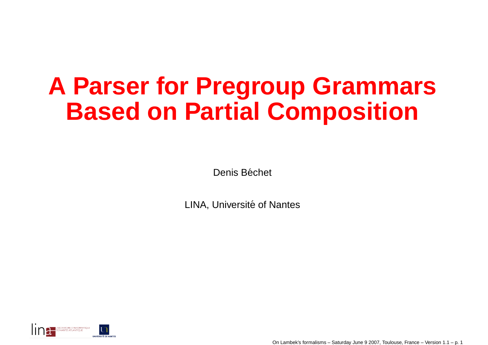#### **A Parser for Pregroup GrammarsBased on Partial Composition**

Denis Béchet

LINA, Université of Nantes



On Lambek's formalisms – Saturday June 9 2007, Toulouse, France – Version 1.1 – p. <sup>1</sup>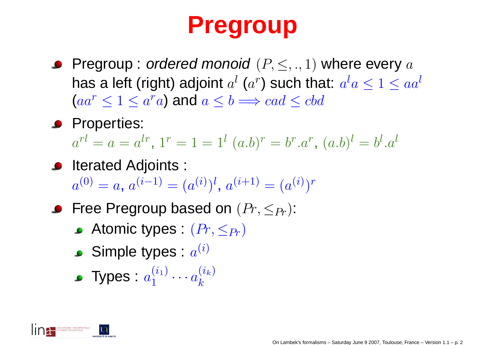#### **Pregroup**

- Pregroup : *ordered monoid*  $(P,\leq,.,1)$  *where every*  $a$ has a left (right) adjoint  $a^l$  ( $a^r$ ) such that:  $a^l a \leq 1 \leq a a^l$  $(aa^r\leq 1\leq a^ra)$  and  $a\leq b\Longrightarrow cad\leq cbd$
- **Properties:**

 $a^{rl} = a = a^{lr}, \, 1^r = 1 = 1^l \; (a.b)^r = b^r.a^r, \, (a.b)^l = b^l.a^l$ 

- **•** Iterated Adjoints :  $a^{(0)} = a, a^{(i-1)} = (a^{(i)})^l, a^{(i+1)} = (a^{(i)})^r$
- Free Pregroup based on  $(Pr, \leq_{Pr})$ :
	- Atomic types :  $(Pr, \leq_{Pr})$
	- Simple types :  $a^{(i)}$
	- Types :  $a_1^{(i_1)} \cdots a_k^{(i_k)}$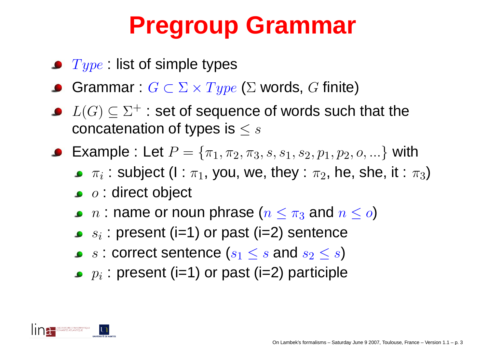#### **Pregroup Grammar**

- $Type$  : list of simple types
- $\textsf{Grammar} : G \subset \Sigma \times Type$   $(\Sigma$  words,  $G$  finite)
- $L(G)\subseteq \Sigma^+$  : set of sequence of words such that the  $\sim$ concatenation of types is  $\leq s$
- Example : Let  $P=\{\pi_1,\pi_2\}$  $\{\pi_1, \pi_2, \pi_3, s, s_1, s_2, p_1, p_2, o, ...\}$  with
	- $\pi_i$  : subject (I :  $\tau$  $\pi_1$ , you, we, they :  $\pi_2$ , he, she, it :  $\pi_3)$
	- $\mathit{o}$  : direct object
	- $n$  : name or noun phrase ( $n\leq \pi_3$  $_3$  and  $n\leq o)$
	- $\bigcap$  $s_i$  : present (i=1) or past (i=2) sentence
	- $s$  : correct sentence  $(s_1\leq s$  and  $s_2\leq s)$
	- $p_i$  : present (i=1) or past (i=2) participle

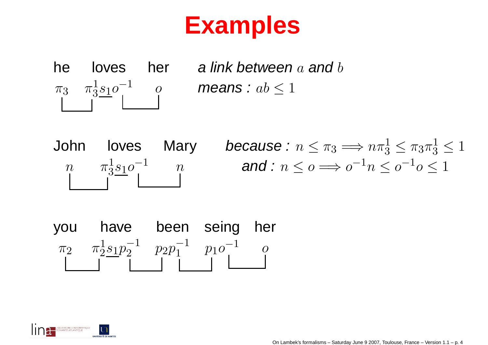#### **Examples**



he loves her alink-between  $a$  and  $b$ 

John loves Mary *because*:  $n \leq \pi_3 \Longrightarrow n \pi_3^1 \leq \pi_3 \pi_3^1 \leq 1$  $\begin{array}{ccc} n & & \pi^1_3\underline{s_1}o^{-1} & & n \ & & \mid & 1 \end{array} \qquad \text{ and } \colon n \leq o \Longrightarrow o^{-1}n \leq o^{-1}o \leq 1$ 

you have been seing her $\pi_2$ 2  $\pi^1_2 s_1 p_2^{-1}$   $p_2 p_1^{-1}$   $p_1 o^{-1}$  o

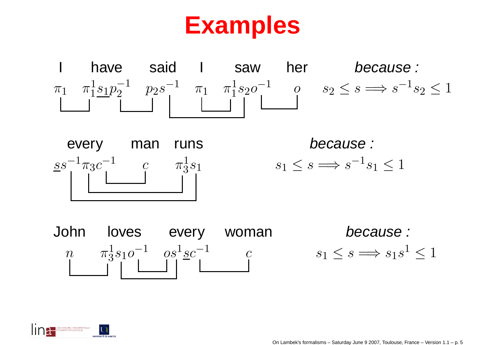#### **Examples**





 because : 1  $s_1 \leq s \implies s^{-1}s_1 \leq 1$ 



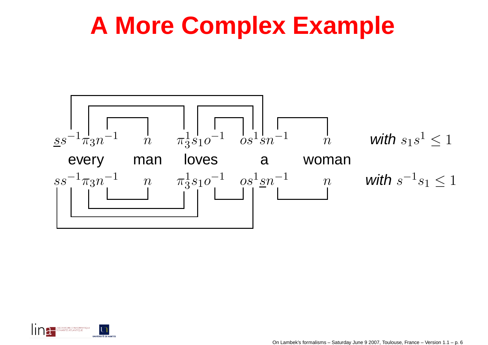#### **A More Complex Example**



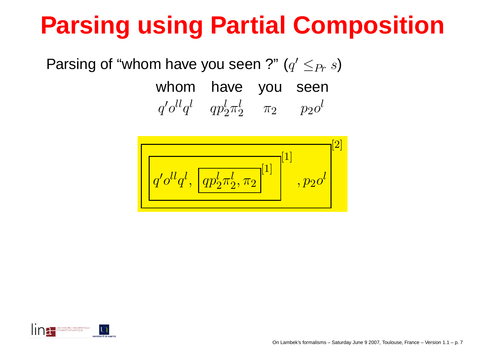## **Parsing using Partial Composition**

Parsing of "whom have you seen ?" ( $q$  $'\leq_{Pr}s$ 

> whom have you seen $\,q\,$  $^\prime o^{ll} q$ l $q$  $\frac{l}{2} \pi$  $\begin{array}{ccc} l & \pi_2 & p_2o \end{array}$ l



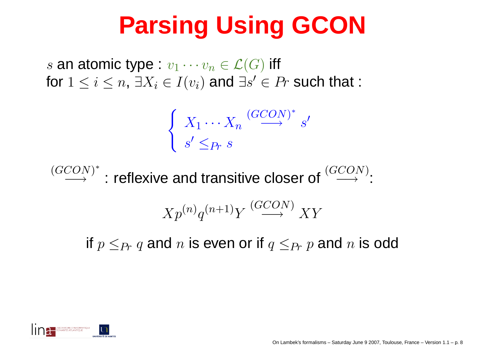## **Parsing Using GCON**

 $s$  an atomic type :  $v_1 \cdots v_n$ 1000 - San Antonio Antonio Antonio Antonio Antonio Antonio Antonio Antonio Antonio Antonio Antonio Antonio Ant  $n \in \mathcal{L}(G)$  iff for  $1\leq i\leq n,$   $\exists X_i\in I(v_i)$  and  $\exists s$  $\prime\in Pr$  such that :

$$
\begin{cases}\nX_1 \cdots X_n \xrightarrow{(GCON)^*} s' \\
s' \leq_{Pr} s\n\end{cases}
$$

$$
\xrightarrow{(GCON)^*}
$$
: reflexive and transitive closer of  $\xrightarrow{(GCON)^*}$ :  

$$
Xp^{(n)}q^{(n+1)}Y \xrightarrow{(GCON)} XY
$$
  
if  $p \leq_{Pr} q$  and *n* is even or if  $q \leq_{Pr} p$  and *n* is odd

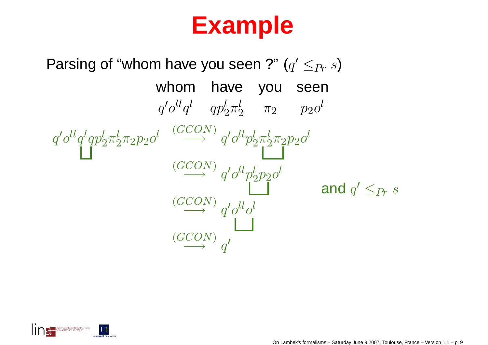#### **Example**

Parsing of "whom have you seen ?"  $(q' \leq_{Pr} s)$ whom have you seen $q'\mathbf{o}^{ll}q^l\quad qp_2^l\pi_2^l \qquad \pi_2 \qquad p_2\mathbf{o}^l$  $q'\mathit{o}^{ll}q^{l}qp_{2}^{l}\pi_{2}^{l}\pi_{2}p_{2}\mathit{o}^{l} \quad \stackrel{(GCON)}{\longrightarrow}$  $\stackrel{\sim}{\rightarrow} q'o^{ll}p_2^l\pi_2^l\pi_2^p p_2o^l$  $\stackrel{(GCON)}{\longrightarrow}$  $\stackrel{\sim}{\rightarrow} q'o^{ll}p_2^lp_2^lo^l$  $\stackrel{(GCON)}{\longrightarrow}$  $\stackrel{\sim}{\rightarrow} q'o^{ll}o^{l}$  $\stackrel{(GCON)}{\longrightarrow}$  $\rightarrow$  q' and  $q' \leq_{Pr} s$ 

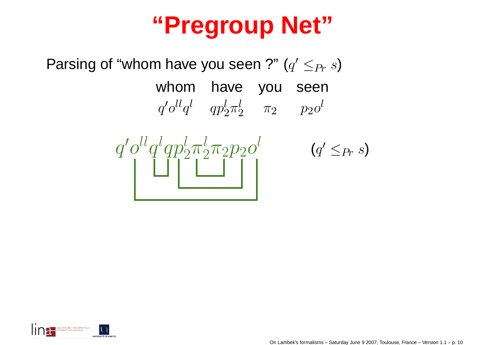#### **"Pregroup Net"**

Parsing of "whom have you seen ?" ( $q$  $'\leq_{Pr}s$ 

> whom have you seen $\,q\,$  $^\prime o^{ll} q$ l $q$  $\frac{l}{2} \pi$  $\begin{array}{ccc} l & \pi_2 & p_2o \end{array}$ l

> > $\left( q\right)$

 $'\leq_{Pr}s$ 

 $\, q \,$ ′ $^\prime o^{ll} q$ l $q p \$  l $\frac{\mathsf{c}}{2}\pi$ l $\frac{1}{2}\pi _{2}p_{2}o$ l



On Lambek's formalisms – Saturday June 9 2007, Toulouse, France – Version 1.1 – p. 10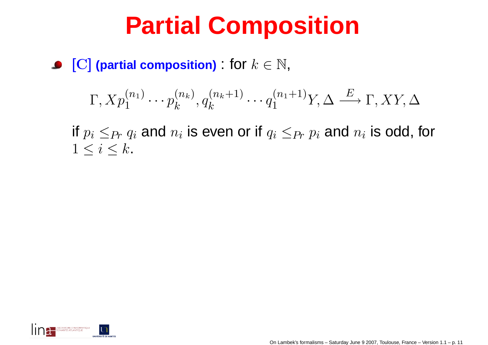#### **Partial Composition**

 $\left[\mathbf{C}\right]$  (partial composition) : for  $k\in\mathbb{N},$ 

$$
\Gamma, X p_1^{(n_1)} \cdots p_k^{(n_k)}, q_k^{(n_k+1)} \cdots q_1^{(n_1+1)} Y, \Delta \stackrel{E}{\longrightarrow} \Gamma, XY, \Delta
$$

if  $p_i\leq_{Pr}q_i$  and  $n_i$  is even or if  $q_i\leq_{Pr}p_i$  and  $n_i$  is odd, for  $1\leq i\leq k$ .

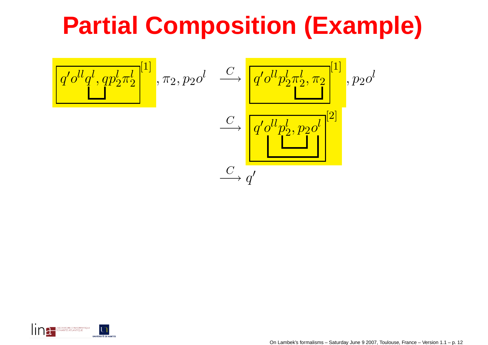#### **Partial Composition (Example)**

$$
\frac{q' o^{ll} q^l, q p_2^l \pi_2^{l}}{q' o^{ll} p_2^l \pi_2^{l}}, \pi_2, p_2 o^l \xrightarrow{C} \frac{q' o^{ll} p_2^l \pi_2^{l}, \pi_2}{q' o^{ll} p_2^l, p_2 o^l}
$$
\n
$$
\xrightarrow{C} \frac{q' o^{ll} p_2^l, p_2 o^l}{q'}
$$
\n
$$
\xrightarrow{C} q'
$$



On Lambek's formalisms – Saturday June 9 2007, Toulouse, France – Version 1.1 – p. <sup>12</sup>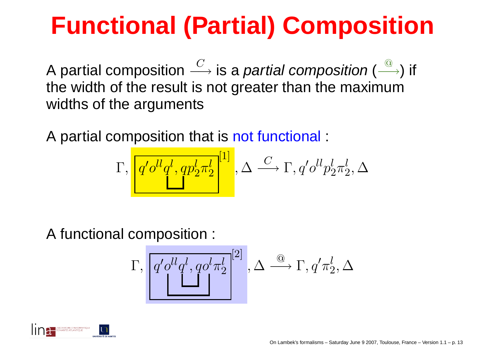## **Functional (Partial) Composition**

A partial composition the width of the result is not greater than the maximum $C \$ —→ is a *partial composition* (<br>is not greater than the maxir  $@$  $\longrightarrow$ ) if widths of the arguments

A partial composition that is not functional :

$$
\Gamma, \left[ \frac{q' o^{ll} q^l, q p_2^l \pi_2^l}{\cdot} \right]^{[1]}, \Delta \stackrel{C}{\longrightarrow} \Gamma, q' o^{ll} p_2^l \pi_2^l, \Delta
$$

A functional composition :

$$
\Gamma, \left[ q' o^{ll} q^l, q o^l \pi_2^l \right]^{[2]}, \Delta \stackrel{\textcircled{\tiny \textcircled{\tiny \textcirc}}} \longrightarrow \Gamma, q' \pi_2^l, \Delta
$$

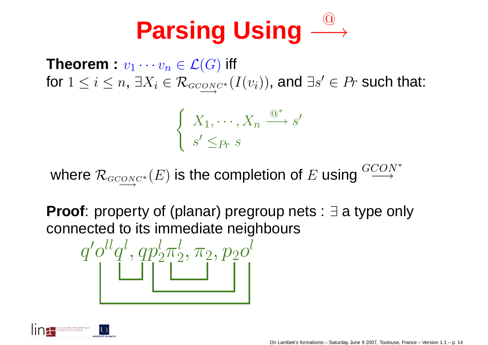#### **Parsing Using** $\bigcircled{0}$ −→

 $\textsf{Theorem}: v_1\cdots v_n$  $\cdot v_1 \cdots v_n \in \mathcal{L}$  $\pi_n\in \mathcal{L}(G)$  iff for  $1\leq i\leq n,$   $\exists X_i\in\mathcal{R}_{\mathit{GCONC}}$ ∗ $\text{supp} \left(I(v_i)\right)$ , and  $\exists s$  $\prime\in Pr$  such that:

$$
\begin{cases} X_1, \cdots, X_n \stackrel{\textcircled{\tiny{A}}^*}{\longrightarrow} s' \\ s' \leq_{Pr} s \end{cases}
$$

where  $\mathcal{R}_{\tiny{GCONC}^*}$  $\overline{\mathbb{E}_{C^{N}C^*}}(E)$  is the completion of  $E$  $E$  using  $\overset{GCON^*}{\longrightarrow}$ −→

**Proof**: property of (planar) pregroup nets : ∃ <sup>a</sup> type only connected to its immediate neighbours

$$
q'o^{ll}q^l, qp_2^l\pi_2^l, \pi_2, p_2o^l
$$

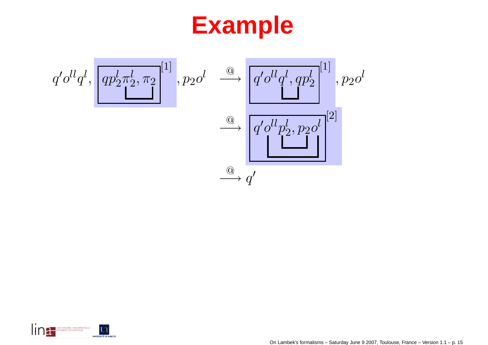#### **Example**





Toulouse, France – Version 1.1 – p. 15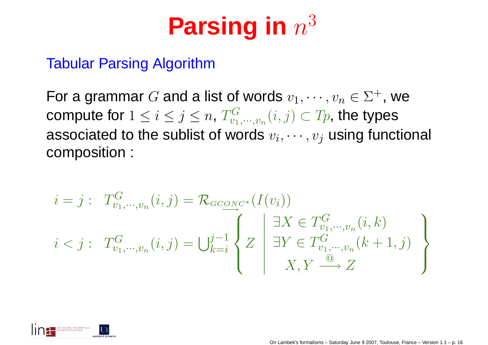## **Parsing in** <sup>n</sup><sup>3</sup>

#### Tabular Parsing Algorithm

For a grammar  $G$  and a list of words  $v_1, \cdots, v_n \in \Sigma^+$ , we compute for  $1\leq i\leq j\leq n$ ,  $T^G_{v_1,\cdot\cdot\cdot,v_n}(i,j)\subset T_p,$  the types associated to the sublist of words  $v_i, \cdots, v_j$  using functional<br>espaceation composition :

$$
i = j: T_{v_1, \dots, v_n}^G(i, j) = \mathcal{R}_{G \text{CONC*}}(I(v_i))
$$
  

$$
i < j: T_{v_1, \dots, v_n}^G(i, j) = \bigcup_{k=i}^{j-1} \left\{ Z \mid \exists X \in T_{v_1, \dots, v_n}^G(i, k) \atop \exists Y \in T_{v_1, \dots, v_n}^G(k+1, j) \right\}
$$

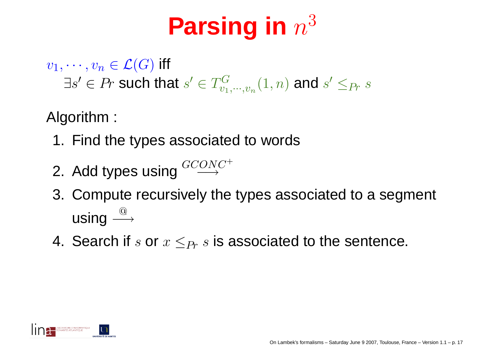# **Parsing in** <sup>n</sup><sup>3</sup>

 $v_1, \cdots, v_n \in \mathcal{L}(G)$  iff

 $\exists s' \in Pr$  such that  $s' \in T^G_{v_1, \cdots, v_n}(1,n)$  and  $s' \leq_{Pr} s$ 

Algorithm :

- 1. Find the types associated to words
- 2. Add types using  $^{GCONC^+}$
- 3. Compute recursively the types associated to <sup>a</sup> segment using $g \stackrel{\textcircled{\raisebox{0.5ex}{\scriptsize$\circ$}}} {\longrightarrow}$
- 4. Search if  $s$  or  $x\leq_{Pr} s$  is associated to the sentence.

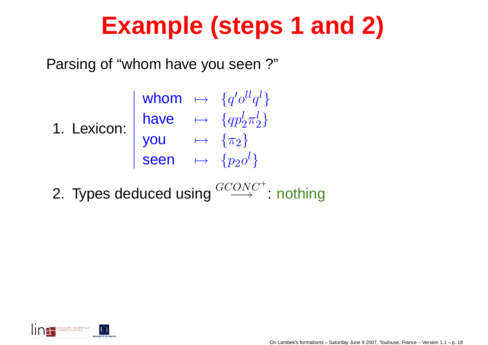#### **Example (steps 1 and 2)**

Parsing of "whom have you seen ?"

| 1. Lexicon: $\begin{vmatrix} \text{have} & \mapsto & \{ap_2^1 \leq a\} \\ a p_2^1 \pi_2^1 \end{vmatrix}$ |                           | whom $\mapsto \{q'o^{ll}q^l\}$ |
|----------------------------------------------------------------------------------------------------------|---------------------------|--------------------------------|
|                                                                                                          |                           |                                |
|                                                                                                          | <b>you</b>                | $\mapsto \ \{\pi_2\}$          |
|                                                                                                          | seen $\mapsto \{p_2o^l\}$ |                                |
|                                                                                                          |                           |                                |

2. Types deduced using  $\overset{GCONC^+}{\longrightarrow}$  $\rightarrow$  : nothing

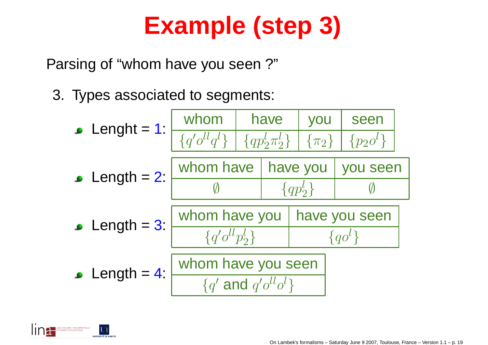## **Example (step 3)**

Parsing of "whom have you seen ?"

3. Types associated to segments: